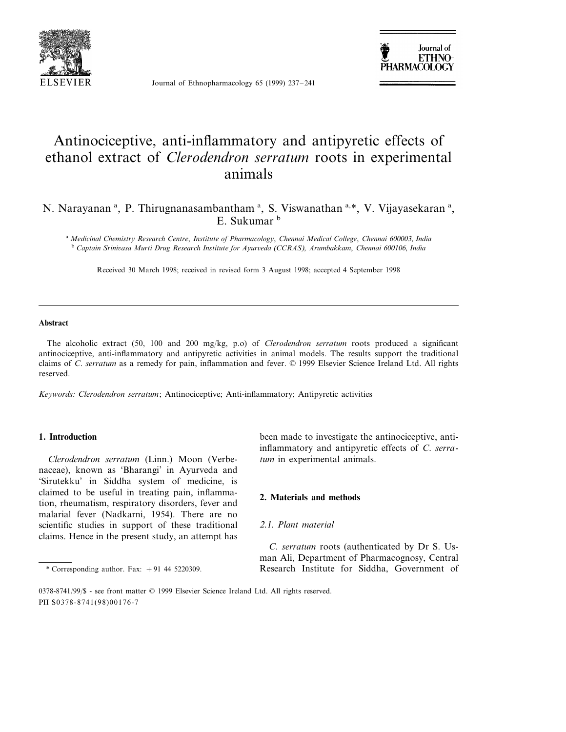

Journal of Ethnopharmacology 65 (1999) 237–241



# Antinociceptive, anti-inflammatory and antipyretic effects of ethanol extract of *Clerodendron serratum* roots in experimental animals

## N. Narayanan<sup>a</sup>, P. Thirugnanasambantham<sup>a</sup>, S. Viswanathan<sup>a,\*</sup>, V. Vijayasekaran<sup>a</sup>, E. Sukumar b

<sup>a</sup> *Medicinal Chemistry Research Centre*, *Institute of Pharmacology*, *Chennai Medical College*, *Chennai* <sup>600003</sup>, *India* <sup>b</sup> *Captain Srini*6*asa Murti Drug Research Institute for Ayur*6*eda* (*CCRAS*), *Arumbakkam*, *Chennai* <sup>600106</sup>, *India*

Received 30 March 1998; received in revised form 3 August 1998; accepted 4 September 1998

#### **Abstract**

The alcoholic extract (50, 100 and 200 mg/kg, p.o) of *Clerodendron serratum* roots produced a significant antinociceptive, anti-inflammatory and antipyretic activities in animal models. The results support the traditional claims of *C*. *serratum* as a remedy for pain, inflammation and fever. © 1999 Elsevier Science Ireland Ltd. All rights reserved.

*Keywords*: *Clerodendron serratum*; Antinociceptive; Anti-inflammatory; Antipyretic activities

#### **1. Introduction**

*Clerodendron serratum* (Linn.) Moon (Verbenaceae), known as 'Bharangi' in Ayurveda and 'Sirutekku' in Siddha system of medicine, is claimed to be useful in treating pain, inflammation, rheumatism, respiratory disorders, fever and malarial fever (Nadkarni, 1954). There are no scientific studies in support of these traditional claims. Hence in the present study, an attempt has been made to investigate the antinociceptive, antiinflammatory and antipyretic effects of *C*. *serratum* in experimental animals.

#### **2. Materials and methods**

## 2.1. *Plant material*

*C*. *serratum* roots (authenticated by Dr S. Usman Ali, Department of Pharmacognosy, Central \* Corresponding author. Fax: +91 44 5220309. Research Institute for Siddha, Government of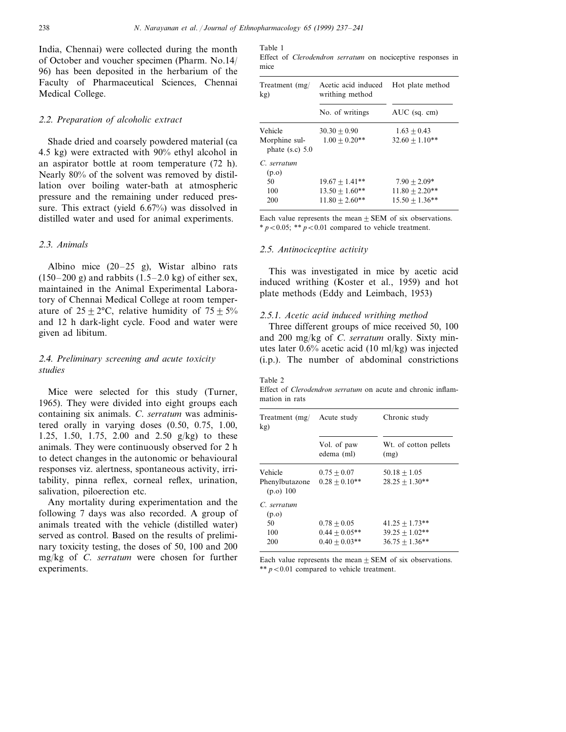India, Chennai) were collected during the month of October and voucher specimen (Pharm. No.14/ 96) has been deposited in the herbarium of the Faculty of Pharmaceutical Sciences, Chennai Medical College.

## 2.2. *Preparation of alcoholic extract*

Shade dried and coarsely powdered material (ca 4.5 kg) were extracted with 90% ethyl alcohol in an aspirator bottle at room temperature (72 h). Nearly 80% of the solvent was removed by distillation over boiling water-bath at atmospheric pressure and the remaining under reduced pressure. This extract (yield 6.67%) was dissolved in distilled water and used for animal experiments.

#### 2.3. *Animals*

Albino mice (20–25 g), Wistar albino rats  $(150-200 \text{ g})$  and rabbits  $(1.5-2.0 \text{ kg})$  of either sex, maintained in the Animal Experimental Laboratory of Chennai Medical College at room temperature of  $25 \pm 2$ °C, relative humidity of  $75 \pm 5\%$ and 12 h dark-light cycle. Food and water were given ad libitum.

## 2.4. *Preliminary screening and acute toxicity studies*

Mice were selected for this study (Turner, 1965). They were divided into eight groups each containing six animals. *C*. *serratum* was administered orally in varying doses (0.50, 0.75, 1.00, 1.25, 1.50, 1.75, 2.00 and 2.50 g/kg) to these animals. They were continuously observed for 2 h to detect changes in the autonomic or behavioural responses viz. alertness, spontaneous activity, irritability, pinna reflex, corneal reflex, urination, salivation, piloerection etc.

Any mortality during experimentation and the following 7 days was also recorded. A group of animals treated with the vehicle (distilled water) served as control. Based on the results of preliminary toxicity testing, the doses of 50, 100 and 200 mg/kg of *C*. *serratum* were chosen for further experiments.

Table 1

Effect of *Clerodendron serratum* on nociceptive responses in mice

| Treatment (mg/<br>kg)              | Acetic acid induced<br>writhing method | Hot plate method |
|------------------------------------|----------------------------------------|------------------|
|                                    | No. of writings                        | $AUC$ (sq. cm)   |
| Vehicle                            | $30.30 + 0.90$                         | $1.63 + 0.43$    |
| Morphine sul-<br>phate $(s.c)$ 5.0 | $1.00 + 0.20**$                        | $32.60 + 1.10**$ |
| C. serratum<br>(p.o)               |                                        |                  |
| 50                                 | $19.67 \pm 1.41$ **                    | $7.90 + 2.09*$   |
| 100                                | $13.50 + 1.60**$                       | $11.80 + 2.20**$ |
| 200                                | $11.80 + 2.60**$                       | $15.50 + 1.36**$ |

Each value represents the mean  $\pm$  SEM of six observations.  $* p < 0.05$ ;  $* p < 0.01$  compared to vehicle treatment.

#### 2.5. *Antinociceptive activity*

This was investigated in mice by acetic acid induced writhing (Koster et al., 1959) and hot plate methods (Eddy and Leimbach, 1953)

#### 2.5.1. *Acetic acid induced writhing method*

Three different groups of mice received 50, 100 and 200 mg/kg of *C*. *serratum* orally. Sixty minutes later 0.6% acetic acid (10 ml/kg) was injected (i.p.). The number of abdominal constrictions

#### Table 2

Effect of *Clerodendron serratum* on acute and chronic inflammation in rats

| Treatment (mg/<br>kg)         | Acute study<br>Vol. of paw<br>edema (ml) | Chronic study                 |
|-------------------------------|------------------------------------------|-------------------------------|
|                               |                                          | Wt. of cotton pellets<br>(mg) |
| Vehicle                       | $0.75 + 0.07$                            | $50.18 + 1.05$                |
| Phenylbutazone<br>$(p.o)$ 100 | $0.28 + 0.10**$                          | $28.25 + 1.30**$              |
| C. serratum                   |                                          |                               |
| (p.o)<br>50                   | $0.78 + 0.05$                            | $41.25 + 1.73**$              |
| 100                           | $0.44 + 0.05**$                          | $39.25 + 1.02**$              |
| 200                           | $0.40 + 0.03$ **                         | $36.75 + 1.36**$              |

Each value represents the mean  $\pm$  SEM of six observations. \*\*  $p < 0.01$  compared to vehicle treatment.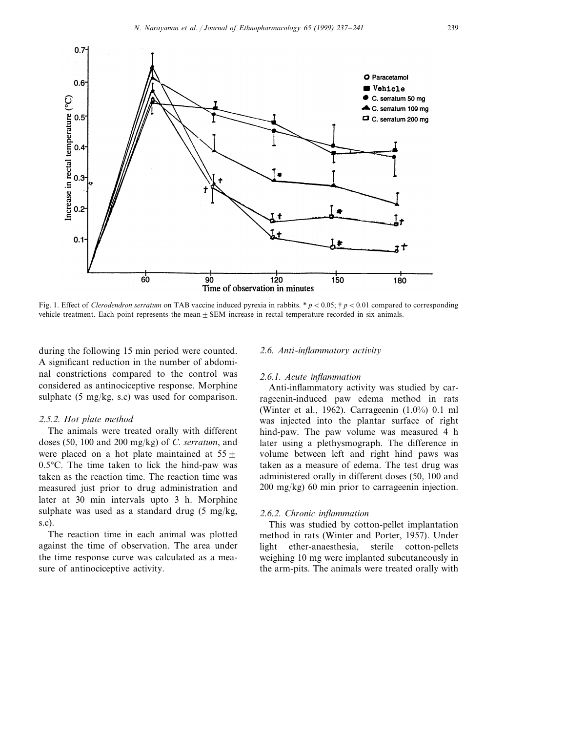

Fig. 1. Effect of *Clerodendron serratum* on TAB vaccine induced pyrexia in rabbits. \*  $p < 0.05$ ; †  $p < 0.01$  compared to corresponding vehicle treatment. Each point represents the mean $\pm$  SEM increase in rectal temperature recorded in six animals.

during the following 15 min period were counted. A significant reduction in the number of abdominal constrictions compared to the control was considered as antinociceptive response. Morphine sulphate (5 mg/kg, s.c) was used for comparison.

#### 2.5.2. *Hot plate method*

The animals were treated orally with different doses (50, 100 and 200 mg/kg) of *C*. *serratum*, and were placed on a hot plate maintained at  $55 \pm$ 0.5°C. The time taken to lick the hind-paw was taken as the reaction time. The reaction time was measured just prior to drug administration and later at 30 min intervals upto 3 h. Morphine sulphate was used as a standard drug (5 mg/kg, s.c).

The reaction time in each animal was plotted against the time of observation. The area under the time response curve was calculated as a measure of antinociceptive activity.

#### 2.6. Anti-inflammatory activity

#### 2.6.1. *Acute inflammation*

Anti-inflammatory activity was studied by carrageenin-induced paw edema method in rats (Winter et al., 1962). Carrageenin (1.0%) 0.1 ml was injected into the plantar surface of right hind-paw. The paw volume was measured 4 h later using a plethysmograph. The difference in volume between left and right hind paws was taken as a measure of edema. The test drug was administered orally in different doses (50, 100 and 200 mg/kg) 60 min prior to carrageenin injection.

#### 2.6.2. *Chronic inflammation*

This was studied by cotton-pellet implantation method in rats (Winter and Porter, 1957). Under light ether-anaesthesia, sterile cotton-pellets weighing 10 mg were implanted subcutaneously in the arm-pits. The animals were treated orally with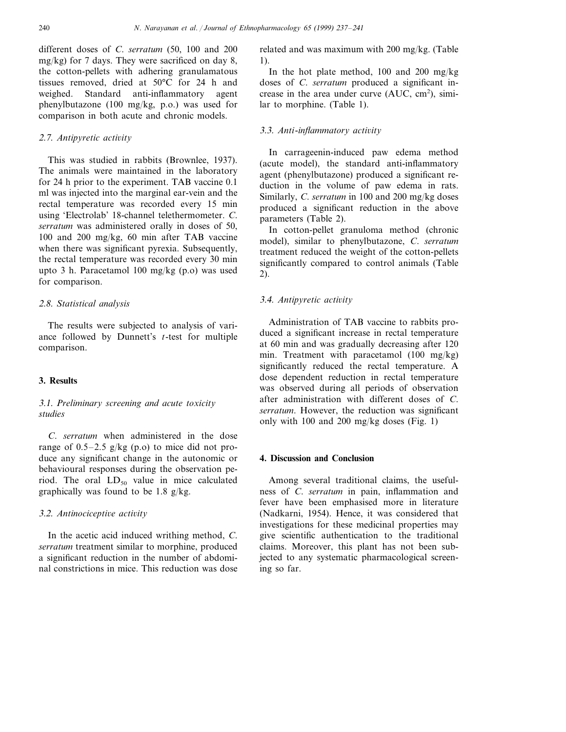different doses of *C*. *serratum* (50, 100 and 200 mg/kg) for 7 days. They were sacrificed on day 8, the cotton-pellets with adhering granulamatous tissues removed, dried at 50°C for 24 h and weighed. Standard anti-inflammatory agent phenylbutazone (100 mg/kg, p.o.) was used for comparison in both acute and chronic models.

## 2.7. Antipyretic activity

This was studied in rabbits (Brownlee, 1937). The animals were maintained in the laboratory for 24 h prior to the experiment. TAB vaccine 0.1 ml was injected into the marginal ear-vein and the rectal temperature was recorded every 15 min using 'Electrolab' 18-channel telethermometer. *C*. *serratum* was administered orally in doses of 50, 100 and 200 mg/kg, 60 min after TAB vaccine when there was significant pyrexia. Subsequently, the rectal temperature was recorded every 30 min upto 3 h. Paracetamol 100 mg/kg (p.o) was used for comparison.

## 2.8. *Statistical analysis*

The results were subjected to analysis of variance followed by Dunnett's *t*-test for multiple comparison.

## **3. Results**

## 3.1. *Preliminary screening and acute toxicity studies*

*C*. *serratum* when administered in the dose range of  $0.5-2.5$  g/kg (p.o) to mice did not produce any significant change in the autonomic or behavioural responses during the observation period. The oral  $LD_{50}$  value in mice calculated graphically was found to be 1.8 g/kg.

## 3.2. *Antinociceptive activity*

In the acetic acid induced writhing method, *C*. *serratum* treatment similar to morphine, produced a significant reduction in the number of abdominal constrictions in mice. This reduction was dose related and was maximum with 200 mg/kg. (Table 1).

In the hot plate method, 100 and 200 mg/kg doses of *C*. *serratum* produced a significant increase in the area under curve  $(AUC, cm^2)$ , similar to morphine. (Table 1).

## 3.3. Anti-inflammatory activity

In carrageenin-induced paw edema method (acute model), the standard anti-inflammatory agent (phenylbutazone) produced a significant reduction in the volume of paw edema in rats. Similarly, *C*. *serratum* in 100 and 200 mg/kg doses produced a significant reduction in the above parameters (Table 2).

In cotton-pellet granuloma method (chronic model), similar to phenylbutazone, *C*. *serratum* treatment reduced the weight of the cotton-pellets significantly compared to control animals (Table 2).

## 3.4. *Antipyretic activity*

Administration of TAB vaccine to rabbits produced a significant increase in rectal temperature at 60 min and was gradually decreasing after 120 min. Treatment with paracetamol (100 mg/kg) significantly reduced the rectal temperature. A dose dependent reduction in rectal temperature was observed during all periods of observation after administration with different doses of *C*. *serratum*. However, the reduction was significant only with 100 and 200 mg/kg doses (Fig. 1)

#### **4. Discussion and Conclusion**

Among several traditional claims, the usefulness of *C*. *serratum* in pain, inflammation and fever have been emphasised more in literature (Nadkarni, 1954). Hence, it was considered that investigations for these medicinal properties may give scientific authentication to the traditional claims. Moreover, this plant has not been subjected to any systematic pharmacological screening so far.